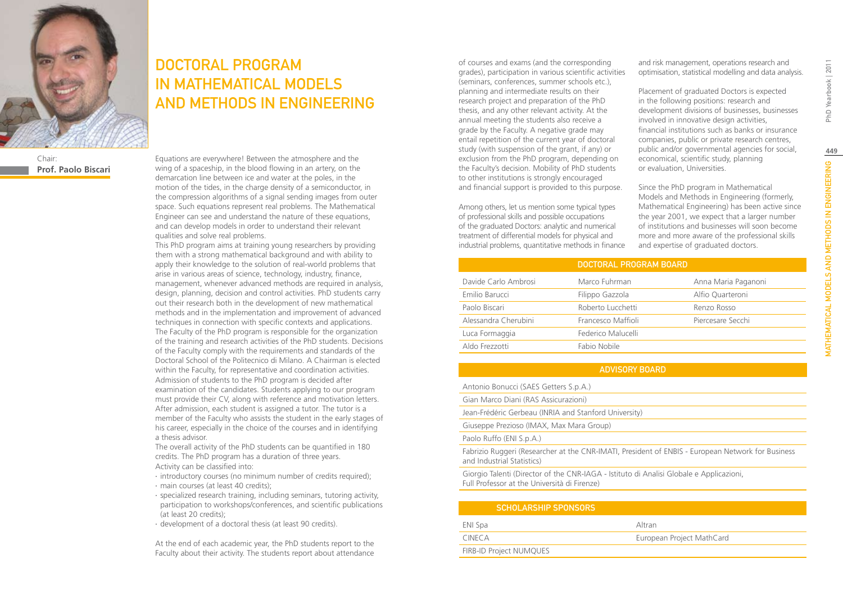

Chair: **Prof. Paolo Biscari**

# DOCTORAL PROGRAM IN MATHEMATICAL MODELS AND METHODS IN ENGINEERING

Equations are everywhere! Between the atmosphere and the wing of a spaceship, in the blood flowing in an artery, on the demarcation line between ice and water at the poles, in the motion of the tides, in the charge density of a semiconductor, in the compression algorithms of a signal sending images from outer space. Such equations represent real problems. The Mathematical Engineer can see and understand the nature of these equations, and can develop models in order to understand their relevant qualities and solve real problems.

This PhD program aims at training young researchers by providing them with a strong mathematical background and with ability to apply their knowledge to the solution of real-world problems that arise in various areas of science, technology, industry, finance, management, whenever advanced methods are required in analysis, design, planning, decision and control activities. PhD students carry out their research both in the development of new mathematical methods and in the implementation and improvement of advanced techniques in connection with specific contexts and applications. The Faculty of the PhD program is responsible for the organization of the training and research activities of the PhD students. Decisions of the Faculty comply with the requirements and standards of the Doctoral School of the Politecnico di Milano. A Chairman is elected within the Faculty, for representative and coordination activities. Admission of students to the PhD program is decided after examination of the candidates. Students applying to our program must provide their CV, along with reference and motivation letters. After admission, each student is assigned a tutor. The tutor is a member of the Faculty who assists the student in the early stages of his career, especially in the choice of the courses and in identifying a thesis advisor.

The overall activity of the PhD students can be quantified in 180 credits. The PhD program has a duration of three years. Activity can be classified into:

- ∙ introductory courses (no minimum number of credits required);
- ∙ main courses (at least 40 credits);
- ∙ specialized research training, including seminars, tutoring activity, participation to workshops/conferences, and scientific publications (at least 20 credits);
- ∙ development of a doctoral thesis (at least 90 credits).

At the end of each academic year, the PhD students report to the Faculty about their activity. The students report about attendance

of courses and exams (and the corresponding grades), participation in various scientific activities (seminars, conferences, summer schools etc.), planning and intermediate results on their research project and preparation of the PhD thesis, and any other relevant activity. At the annual meeting the students also receive a grade by the Faculty. A negative grade may entail repetition of the current year of doctoral study (with suspension of the grant, if any) or exclusion from the PhD program, depending on the Faculty's decision. Mobility of PhD students to other institutions is strongly encouraged and financial support is provided to this purpose.

Among others, let us mention some typical types of professional skills and possible occupations of the graduated Doctors: analytic and numerical treatment of differential models for physical and industrial problems, quantitative methods in finance and risk management, operations research and optimisation, statistical modelling and data analysis.

Placement of graduated Doctors is expected in the following positions: research and development divisions of businesses, businesses involved in innovative design activities, financial institutions such as banks or insurance companies, public or private research centres, public and/or governmental agencies for social, economical, scientific study, planning or evaluation, Universities.

Since the PhD program in Mathematical Models and Methods in Engineering (formerly, Mathematical Engineering) has been active since the year 2001, we expect that a larger number of institutions and businesses will soon become more and more aware of the professional skills and expertise of graduated doctors.

|                      | DOCTORAL PROGRAM BOARD |                     |
|----------------------|------------------------|---------------------|
| Davide Carlo Ambrosi | Marco Fuhrman          | Anna Maria Paganoni |
| Emilio Barucci       | Filippo Gazzola        | Alfio Quarteroni    |
| Paolo Biscari        | Roberto Lucchetti      | Renzo Rosso         |
| Alessandra Cherubini | Francesco Maffioli     | Piercesare Secchi   |
| Luca Formaggia       | Federico Malucelli     |                     |
| Aldo Frezzotti       | Fabio Nobile           |                     |

### ADVISORY BOARD

- Antonio Bonucci (SAES Getters S.p.A.)
- Gian Marco Diani (RAS Assicurazioni)
- Jean-Frédéric Gerbeau (INRIA and Stanford University)

Giuseppe Prezioso (IMAX, Max Mara Group)

Paolo Ruffo (ENI S.p.A.)

Fabrizio Ruggeri (Researcher at the CNR-IMATI, President of ENBIS - European Network for Business and Industrial Statistics)

Giorgio Talenti (Director of the CNR-IAGA - Istituto di Analisi Globale e Applicazioni, Full Professor at the Università di Firenze)

| <b>SCHOLARSHIP SPONSORS</b> |                           |
|-----------------------------|---------------------------|
| ENI Spa                     | Altran                    |
| CINFCA                      | European Project MathCard |
| FIRB-ID Project NUMQUES     |                           |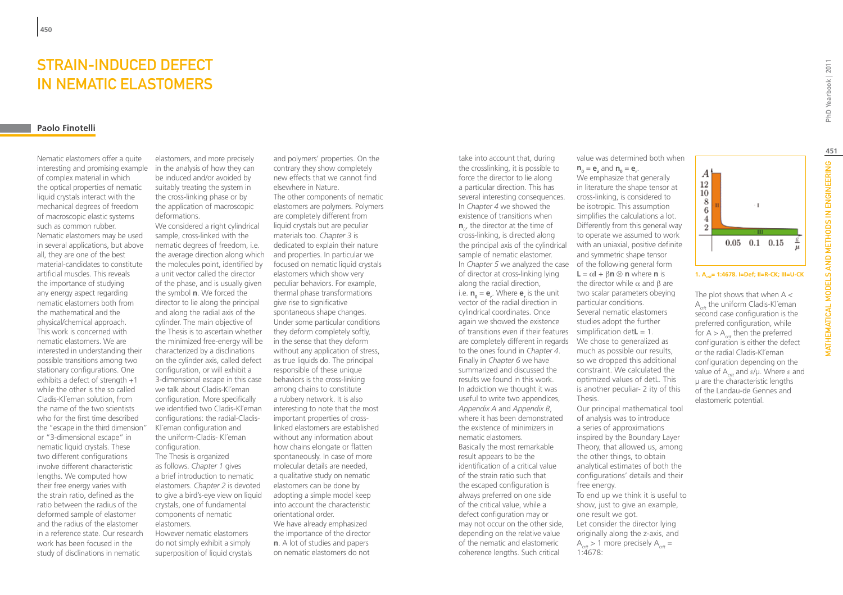## Strain-induced defect in nematic elastomers

#### **Paolo Finotelli**

Nematic elastomers offer a quite interesting and promising example of complex material in which the optical properties of nematic liquid crystals interact with the mechanical degrees of freedom of macroscopic elastic systems such as common rubber. Nematic elastomers may be used in several applications, but above all, they are one of the best material-candidates to constitute artificial muscles. This reveals the importance of studying any energy aspect regarding nematic elastomers both from the mathematical and the physical/chemical approach. This work is concerned with nematic elastomers. We are interested in understanding their possible transitions among two stationary configurations. One exhibits a defect of strength +1 while the other is the so called Cladis-Kl´eman solution, from the name of the two scientists who for the first time described the "escape in the third dimension" or "3-dimensional escape" in nematic liquid crystals. These two different configurations involve different characteristic lengths. We computed how their free energy varies with the strain ratio, defined as the ratio between the radius of the deformed sample of elastomer and the radius of the elastomer in a reference state. Our research work has been focused in the study of disclinations in nematic

elastomers, and more precisely in the analysis of how they can be induced and/or avoided by suitably treating the system in the cross-linking phase or by the application of macroscopic deformations.

We considered a right cylindrical sample, cross-linked with the nematic degrees of freedom, i.e. the average direction along which the molecules point, identified by a unit vector called the director of the phase, and is usually given the symbol **n**. We forced the director to lie along the principal and along the radial axis of the cylinder. The main objective of the Thesis is to ascertain whether the minimized free-energy will be characterized by a disclinations on the cylinder axis, called defect configuration, or will exhibit a 3-dimensional escape in this case we talk about Cladis-Kl´eman configuration. More specifically we identified two Cladis-Kl´eman configurations: the radial-Cladis-Kl´eman configuration and the uniform-Cladis- Kl´eman configuration. The Thesis is organized as follows. *Chapter 1* gives a brief introduction to nematic elastomers. *Chapter 2* is devoted to give a bird's-eye view on liquid

crystals, one of fundamental components of nematic elastomers.

However nematic elastomers do not simply exhibit a simply superposition of liquid crystals

and polymers' properties. On the contrary they show completely new effects that we cannot find elsewhere in Nature. The other components of nematic elastomers are polymers. Polymers are completely different from liquid crystals but are peculiar materials too. *Chapter 3* is dedicated to explain their nature and properties. In particular we focused on nematic liquid crystals elastomers which show very peculiar behaviors. For example, thermal phase transformations give rise to significative spontaneous shape changes. Under some particular conditions they deform completely softly, in the sense that they deform without any application of stress, as true liquids do. The principal responsible of these unique behaviors is the cross-linking among chains to constitute a rubbery network. It is also interesting to note that the most important properties of crosslinked elastomers are established without any information about how chains elongate or flatten spontaneously. In case of more molecular details are needed, a qualitative study on nematic elastomers can be done by adopting a simple model keep into account the characteristic orientational order. We have already emphasized the importance of the director

**n**. A lot of studies and papers on nematic elastomers do not take into account that, during the crosslinking, it is possible to force the director to lie along a particular direction. This has several interesting consequences. In *Chapter 4* we showed the existence of transitions when  $\mathbf{n}_{\text{o}}$ , the director at the time of cross-linking, is directed along the principal axis of the cylindrical sample of nematic elastomer. In *Chapter 5* we analyzed the case of the following general form of director at cross-linking lying along the radial direction, i.e.  $n_0 = e_r$ . Where  $e_r$  is the unit vector of the radial direction in cylindrical coordinates. Once again we showed the existence of transitions even if their features simplification det**L** = 1. are completely different in regards to the ones found in *Chapter 4*. Finally in *Chapter 6* we have summarized and discussed the results we found in this work. In addiction we thought it was useful to write two appendices, *Appendix A* and *Appendix B*, where it has been demonstrated the existence of minimizers in nematic elastomers. Basically the most remarkable result appears to be the identification of a critical value of the strain ratio such that the escaped configuration is always preferred on one side of the critical value, while a defect configuration may or may not occur on the other side, depending on the relative value of the nematic and elastomeric coherence lengths. Such critical

value was determined both when  $A<sup>1</sup>$ We emphasize that generally  $12\,$ in literature the shape tensor at  $10\,$ cross-linking, is considered to 8 be isotropic. This assumption 6 simplifies the calculations a lot.  $\overline{4}$ Differently from this general way  $\boldsymbol{2}$ to operate we assumed to work  $0.05$  0.1 0.15 with an uniaxial, positive definite and symmetric shape tensor **L** =  $\alpha$ **I** +  $\beta$ **n**  $\otimes$  **n** where **n** is **1. A***crit***= 1:4678. I=Def; II=R-CK; III=U-CK**the director while  $\alpha$  and  $\beta$  are two scalar parameters obeying The plot shows that when  $A <$ particular conditions. A*crit* the uniform Cladis-Kl´eman Several nematic elastomers second case configuration is the studies adopt the further

 $n_0 = e_z$  and  $n_0 = e_r$ .

We chose to generalized as much as possible our results, so we dropped this additional constraint. We calculated the optimized values of detL. This is another peculiar- 2 ity of this

Our principal mathematical tool of analysis was to introduce a series of approximations inspired by the Boundary Layer Theory, that allowed us, among the other things, to obtain analytical estimates of both the configurations' details and their

To end up we think it is useful to show, just to give an example,

Let consider the director lying originally along the z-axis, and  $A<sub>z</sub> > 1$  more precisely  $A<sub>z</sub> =$ 

Thesis.

free energy.

1:4678:

one result we got.

preferred configuration, while for  $A > A_{crit}$  then the preferred configuration is either the defect or the radial Cladis-Kl´eman configuration depending on the value of A*crit* and ε/μ. Where e and μ are the characteristic lengths of the Landau-de Gennes and elastomeric potential.

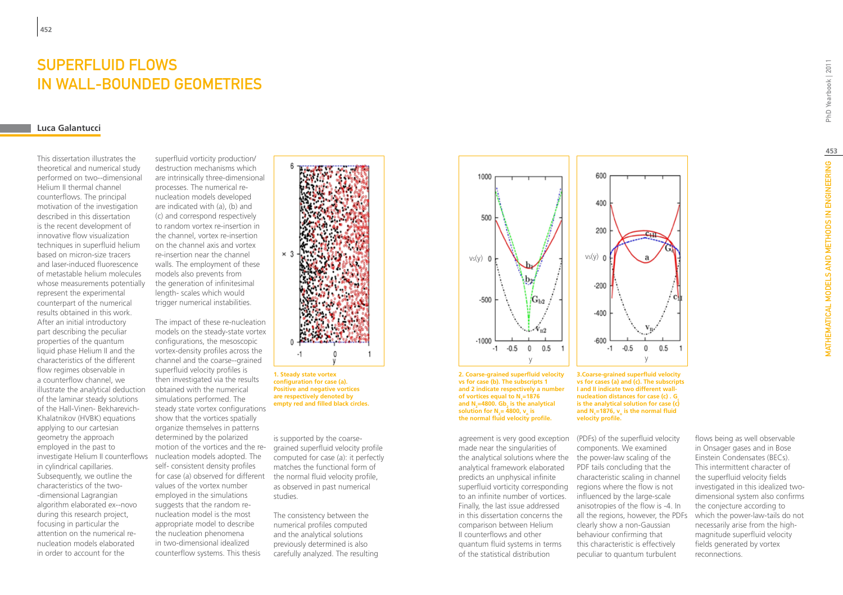### SUPFRFI UID FI OWS in wall-bounded geometries

#### **Luca Galantucci**

**452**

This dissertation illustrates the theoretical and numerical study performed on two--dimensional Helium II thermal channel counterflows. The principal motivation of the investigation described in this dissertation is the recent development of innovative flow visualization techniques in superfluid helium based on micron-size tracers and laser-induced fluorescence of metastable helium molecules whose measurements potentially represent the experimental counterpart of the numerical results obtained in this work. After an initial introductory part describing the peculiar properties of the quantum liquid phase Helium II and the characteristics of the different flow regimes observable in a counterflow channel, we illustrate the analytical deduction of the laminar steady solutions of the Hall-Vinen- Bekharevich-Khalatnikov (HVBK) equations applying to our cartesian geometry the approach employed in the past to investigate Helium II counterflows in cylindrical capillaries. Subsequently, we outline the characteristics of the two- -dimensional Lagrangian algorithm elaborated ex--novo during this research project, focusing in particular the attention on the numerical renucleation models elaborated in order to account for the

superfluid vorticity production/ destruction mechanisms which are intrinsically three-dimensional processes. The numerical renucleation models developed are indicated with (a), (b) and (c) and correspond respectively to random vortex re-insertion in the channel, vortex re-insertion on the channel axis and vortex re-insertion near the channel walls. The employment of these models also prevents from the generation of infinitesimal length- scales which would trigger numerical instabilities.

The impact of these re-nucleation models on the steady-state vortex configurations, the mesoscopic vortex-density profiles across the channel and the coarse--grained superfluid velocity profiles is then investigated via the results obtained with the numerical simulations performed. The steady state vortex configurations show that the vortices spatially organize themselves in patterns determined by the polarized motion of the vortices and the re-grained superfluid velocity profile nucleation models adopted. The self- consistent density profiles for case (a) observed for different values of the vortex number employed in the simulations suggests that the random renucleation model is the most appropriate model to describe the nucleation phenomena in two-dimensional idealized counterflow systems. This thesis



**1. Steady state vortex configuration for case (a). Positive and negative vortices are respectively denoted by empty red and filled black circles.** 

is supported by the coarsecomputed for case (a): it perfectly matches the functional form of the normal fluid velocity profile, as observed in past numerical studies.

The consistency between the numerical profiles computed and the analytical solutions previously determined is also carefully analyzed. The resulting



**2. Coarse-grained superfluid velocity vs for case (b). The subscripts 1 and 2 indicate respectively a number of vortices equal to N1 =1876**  and N<sub>2</sub>=4800. Gb<sub>2</sub> is the analytical **solution for N**<sub>2</sub> = 4800,  $v_n$  is **the normal fluid velocity profile.** 

agreement is very good exception (PDFs) of the superfluid velocity made near the singularities of the analytical solutions where the the power-law scaling of the analytical framework elaborated predicts an unphysical infinite superfluid vorticity corresponding regions where the flow is not to an infinite number of vortices. Finally, the last issue addressed in this dissertation concerns the comparison between Helium II counterflows and other quantum fluid systems in terms of the statistical distribution

**3.Coarse-grained superfluid velocity vs for cases (a) and (c). The subscripts I and II indicate two different wallnucleation distances for case (c) . G is the analytical solution for case (c)**  and  $N_1$ =1876,  $v_n$  is the normal fluid **velocity profile.**

y

 $\bf{0}$ 

 $0.5$ 

components. We examined PDF tails concluding that the characteristic scaling in channel influenced by the large-scale anisotropies of the flow is -4. In all the regions, however, the PDFs clearly show a non-Gaussian behaviour confirming that this characteristic is effectively peculiar to quantum turbulent

flows being as well observable in Onsager gases and in Bose Einstein Condensates (BECs). This intermittent character of the superfluid velocity fields investigated in this idealized twodimensional system also confirms the conjecture according to which the power-law-tails do not necessarily arise from the highmagnitude superfluid velocity fields generated by vortex reconnections.